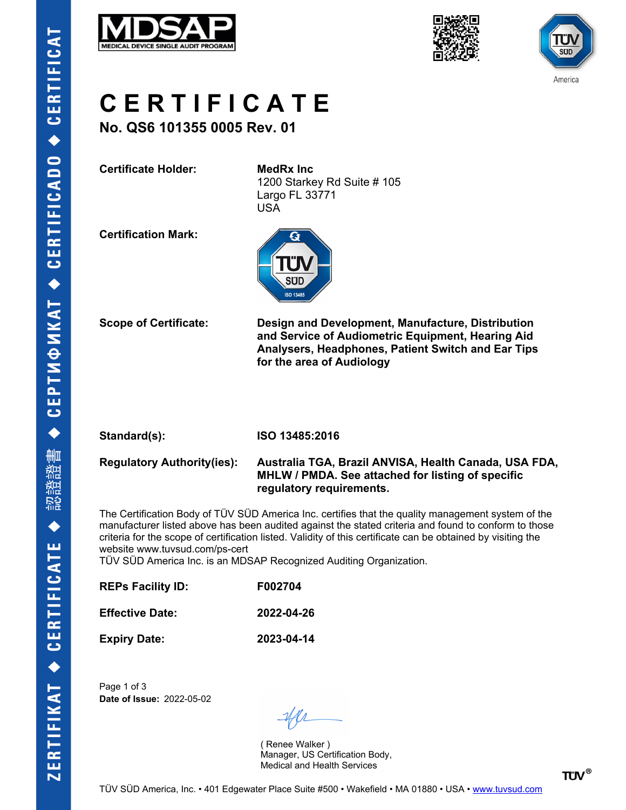





## **C E R T I F I C A T E**

**No. QS6 101355 0005 Rev. 01**

**Certificate Holder: MedRx Inc**

1200 Starkey Rd Suite # 105 Largo FL 33771 USA

**Certification Mark:**



**Scope of Certificate: Design and Development, Manufacture, Distribution and Service of Audiometric Equipment, Hearing Aid Analysers, Headphones, Patient Switch and Ear Tips for the area of Audiology**

**Standard(s): ISO 13485:2016**

#### **Regulatory Authority(ies): Australia TGA, Brazil ANVISA, Health Canada, USA FDA, MHLW / PMDA. See attached for listing of specific regulatory requirements.**

The Certification Body of TÜV SÜD America Inc. certifies that the quality management system of the manufacturer listed above has been audited against the stated criteria and found to conform to those criteria for the scope of certification listed. Validity of this certificate can be obtained by visiting the website www.tuvsud.com/ps-cert

TÜV SÜD America Inc. is an MDSAP Recognized Auditing Organization.

| <b>REPs Facility ID:</b> | F002704    |
|--------------------------|------------|
| <b>Effective Date:</b>   | 2022-04-26 |
| <b>Expiry Date:</b>      | 2023-04-14 |

Page 1 of 3 **Date of Issue:** 2022-05-02

( Renee Walker ) Manager, US Certification Body, Medical and Health Services

**TÜV®**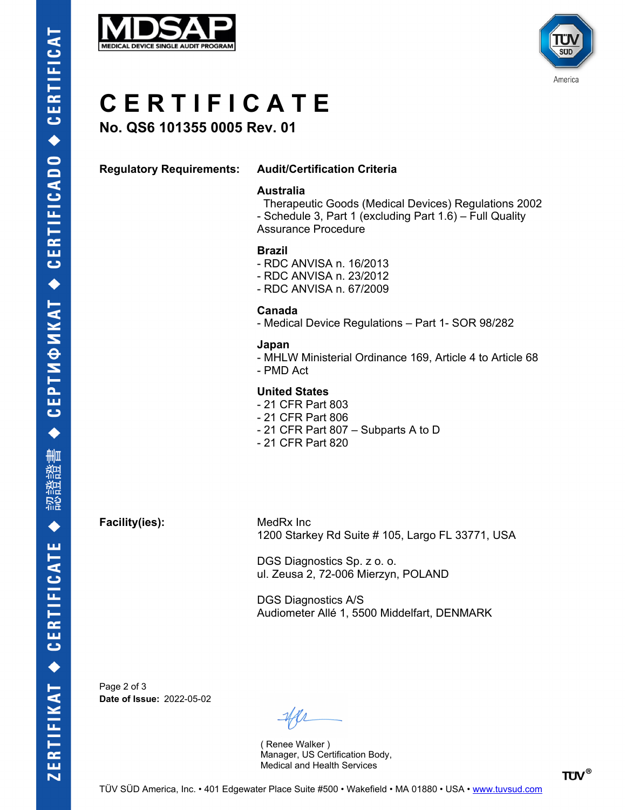



# **C E R T I F I C A T E**

## **No. QS6 101355 0005 Rev. 01**

### **Regulatory Requirements: Audit/Certification Criteria**

#### **Australia**

 Therapeutic Goods (Medical Devices) Regulations 2002 - Schedule 3, Part 1 (excluding Part 1.6) – Full Quality Assurance Procedure

### **Brazil**

- RDC ANVISA n. 16/2013
- RDC ANVISA n. 23/2012
- RDC ANVISA n. 67/2009

#### **Canada**

- Medical Device Regulations – Part 1- SOR 98/282

#### **Japan**

- MHLW Ministerial Ordinance 169, Article 4 to Article 68
- PMD Act

### **United States**

- 21 CFR Part 803
- 21 CFR Part 806
- 21 CFR Part 807 Subparts A to D
- 21 CFR Part 820

**Facility(ies):** MedRx Inc

1200 Starkey Rd Suite # 105, Largo FL 33771, USA

DGS Diagnostics Sp. z o. o. ul. Zeusa 2, 72-006 Mierzyn, POLAND

DGS Diagnostics A/S Audiometer Allé 1, 5500 Middelfart, DENMARK

Page 2 of 3 **Date of Issue:** 2022-05-02

( Renee Walker ) Manager, US Certification Body, Medical and Health Services

**TÜV®**